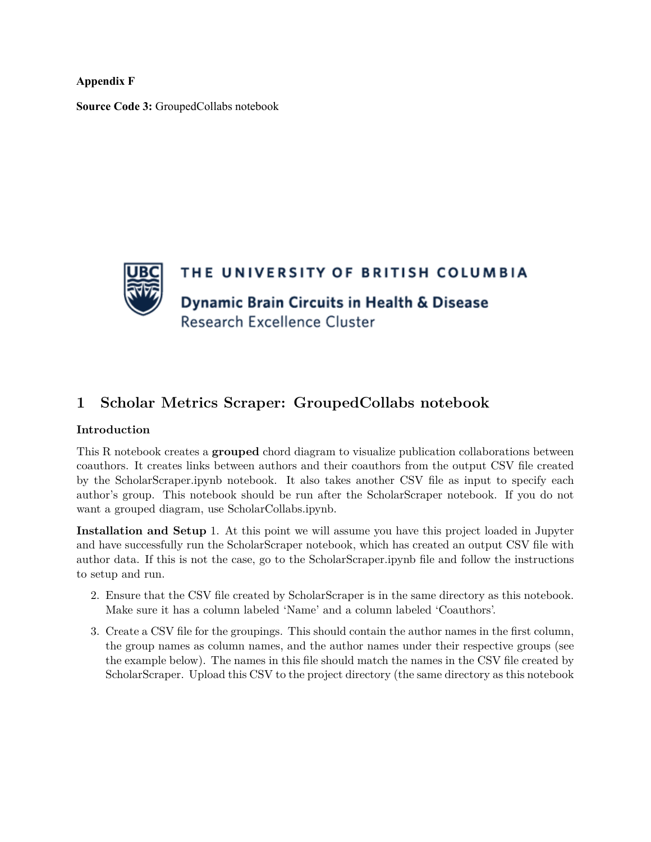**Appendix F**

**Source Code 3:** GroupedCollabs notebook



## **1 Scholar Metrics Scraper: GroupedCollabs notebook**

## **Introduction**

This R notebook creates a **grouped** chord diagram to visualize publication collaborations between coauthors. It creates links between authors and their coauthors from the output CSV file created by the ScholarScraper.ipynb notebook. It also takes another CSV file as input to specify each author's group. This notebook should be run after the ScholarScraper notebook. If you do not want a grouped diagram, use ScholarCollabs.ipynb.

**Installation and Setup** 1. At this point we will assume you have this project loaded in Jupyter and have successfully run the ScholarScraper notebook, which has created an output CSV file with author data. If this is not the case, go to the ScholarScraper.ipynb file and follow the instructions to setup and run.

- 2. Ensure that the CSV file created by ScholarScraper is in the same directory as this notebook. Make sure it has a column labeled 'Name' and a column labeled 'Coauthors'.
- 3. Create a CSV file for the groupings. This should contain the author names in the first column, the group names as column names, and the author names under their respective groups (see the example below). The names in this file should match the names in the CSV file created by ScholarScraper. Upload this CSV to the project directory (the same directory as this notebook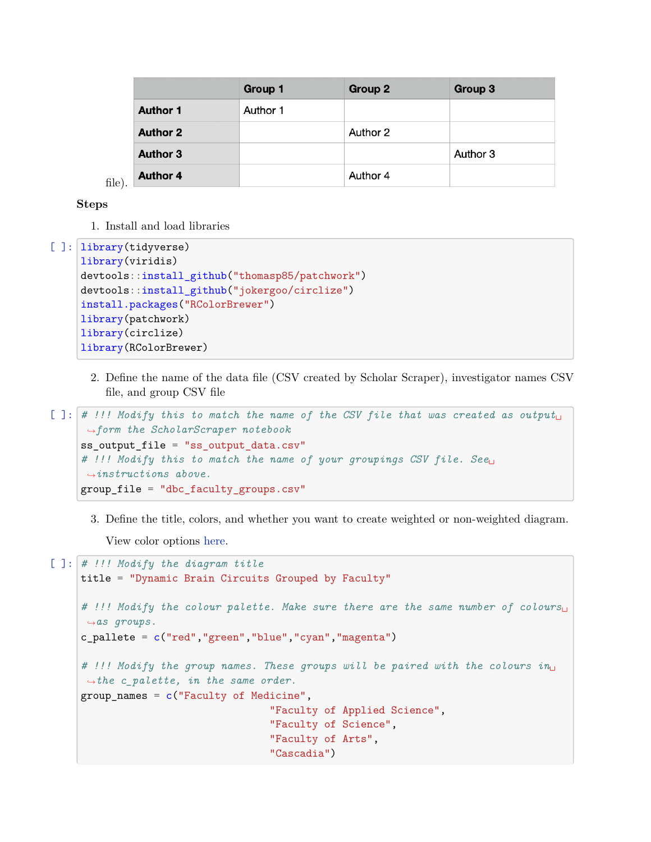|        |                 | <b>Group 1</b> | Group 2  | Group 3  |
|--------|-----------------|----------------|----------|----------|
| file). | <b>Author 1</b> | Author 1       |          |          |
|        | <b>Author 2</b> |                | Author 2 |          |
|        | <b>Author 3</b> |                |          | Author 3 |
|        | <b>Author 4</b> |                | Author 4 |          |

## **Steps**

1. Install and load libraries

```
[ ]: library(tidyverse)
     library(viridis)
     devtools::install_github("thomasp85/patchwork")
     devtools::install_github("jokergoo/circlize")
     install.packages("RColorBrewer")
     library(patchwork)
     library(circlize)
     library(RColorBrewer)
```
2. Define the name of the data file (CSV created by Scholar Scraper), investigator names CSV file, and group CSV file

```
[ ]: | # !!! Modify this to match the name of the CSV file that was created as output<sub>\sqcup</sub>
      ,→form the ScholarScraper notebook
     ss_output_file = "ss_output_data.csv"
     # !!! Modify this to match the name of your groupings CSV file. See␣
      ,→instructions above.
     group_file = "dbc_faculty_groups.csv"
```
3. Define the title, colors, and whether you want to create weighted or non-weighted diagram. View color options [here.](http://www.stat.columbia.edu/~tzheng/files/Rcolor.pdf)

```
[ ]: # !!! Modify the diagram title
     title = "Dynamic Brain Circuits Grouped by Faculty"
     # !!! Modify the colour palette. Make sure there are the same number of colours␣
     ,→as groups.
     c pallete = c("red", "green", "blue", "cyan", "magenta")# !!! Modify the group names. These groups will be paired with the colours in␣
     ,→the c_palette, in the same order.
     group_names = c("Faculty of Medicine",
                                     "Faculty of Applied Science",
                                     "Faculty of Science",
                                    "Faculty of Arts",
                                     "Cascadia")
```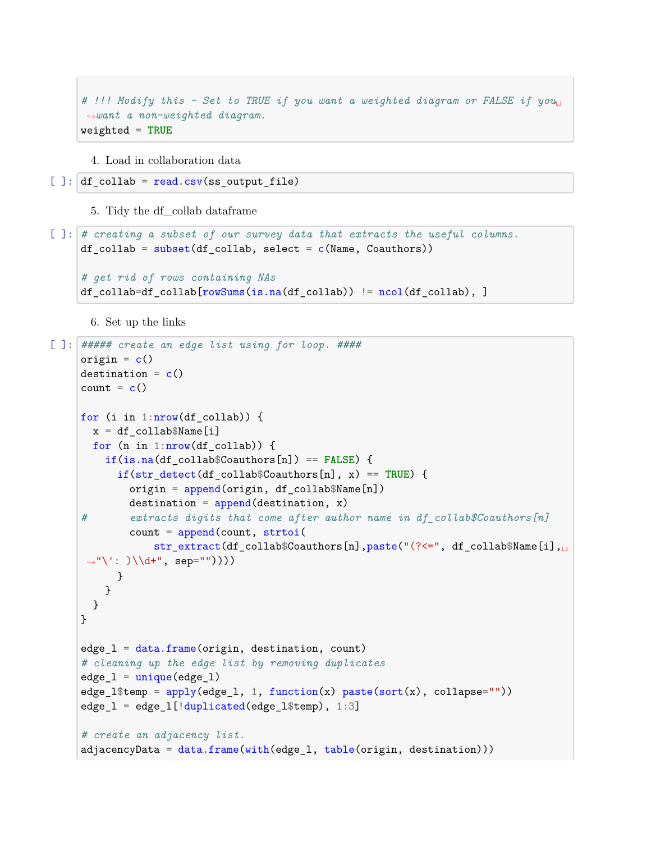```
# !!! Modify this - Set to TRUE if you want a weighted diagram or FALSE if you␣
,→want a non-weighted diagram.
weighted = TRUE
```
4. Load in collaboration data

```
[ ]: ]df_collab = read.csv(ss_output_file)
```
5. Tidy the df\_collab dataframe

```
[ ]: # creating a subset of our survey data that extracts the useful columns.
     df_collab = \text{subset}(\text{d}f_{\text{collab}}, \text{select} = c(\text{Name}, \text{Cauthors}))# get rid of rows containing NAs
     df_collab=df_collab[rowSums(is.na(df_collab)) != ncol(df_collab), ]
```
6. Set up the links

```
[ ]: ##### create an edge list using for loop. ####
    origin = c()destination = c()count = c()for (i in 1:nrow(df_collab)) {
      x = df_{collab$Name[i]}for (n in 1:nrow(df collab)) {
        if(is.na(df_collab$Coauthors[n]) == FALSE) {
           if(str_detect(df_collab$Coauthors[n], x) == TRUE) {
             origin = append(origin, df_collab$Name[n])
            destination = append(destination, x)# extracts digits that come after author name in df_collab$Coauthors[n]
            count = append(count, strtoi)str_extract(df_collab$Coauthors[n],paste("(?<=", df_collab$Name[i],
     →"\': )\\d+", sep=""))))
           }
        }
      }
    }
    edge_l = data.frame(origin, destination, count)
    # cleaning up the edge list by removing duplicates
    edge_1 = unique(edge_1)edge_l$temp = apply(edge_1, 1, function(x) paste(sort(x), collapse""))edge_l = edge_l[!duplicated(edge_l$temp), 1:3]
     # create an adjacency list.
    adjacencyData = data.frame(with(edge_l, table(origin, destination)))
```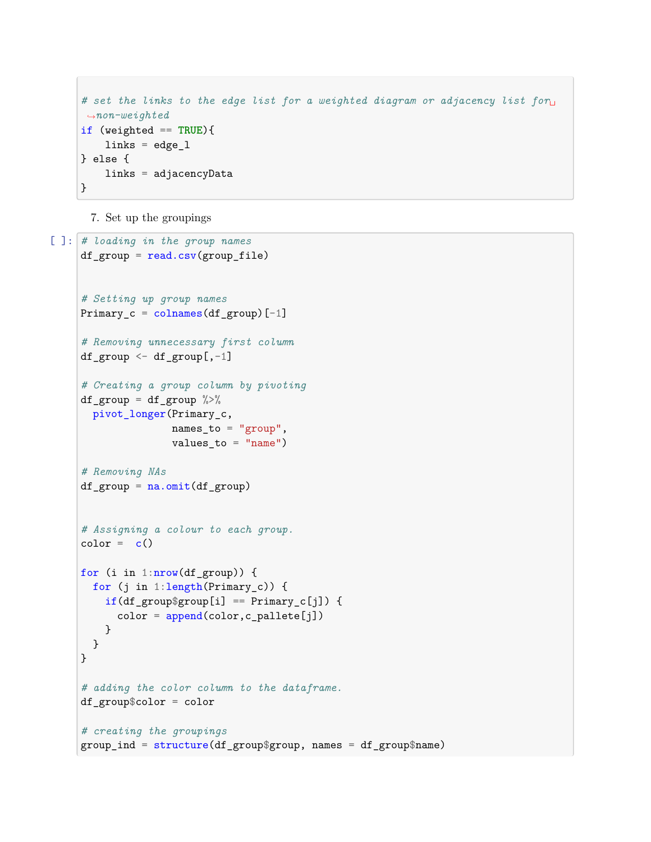```
# set the links to the edge list for a weighted diagram or adjacency list for␣
,→non-weighted
if (weighted == TRUE){
   links = edge_1} else {
   links = adjacencyData
}
```
7. Set up the groupings

```
[ ]: # loading in the group names
     df_{group} = read.csv(group_file)# Setting up group names
     Primary_c = colnames(df_group)[-1]# Removing unnecessary first column
     df_group \leftarrow df_group[,-1]
     # Creating a group column by pivoting
     df_{group} = df_{group} % = f_{group}pivot_longer(Primary_c,
                    names_to = "group",values_to = "name")# Removing NAs
     df_{group} = na.omit(df_{group})# Assigning a colour to each group.
     color = c()for (i in 1: nrow(df-group)) {
       for (j in 1:length(Primary_c)) {
         if(df_groupgroup$group[i] == Primary_c[j]) {
           color = append(color, c\_pallete[j])}
       }
     }
     # adding the color column to the dataframe.
     df_group$color = color
     # creating the groupings
     group_ind = structure(df_group$group, names = df_group$name)
```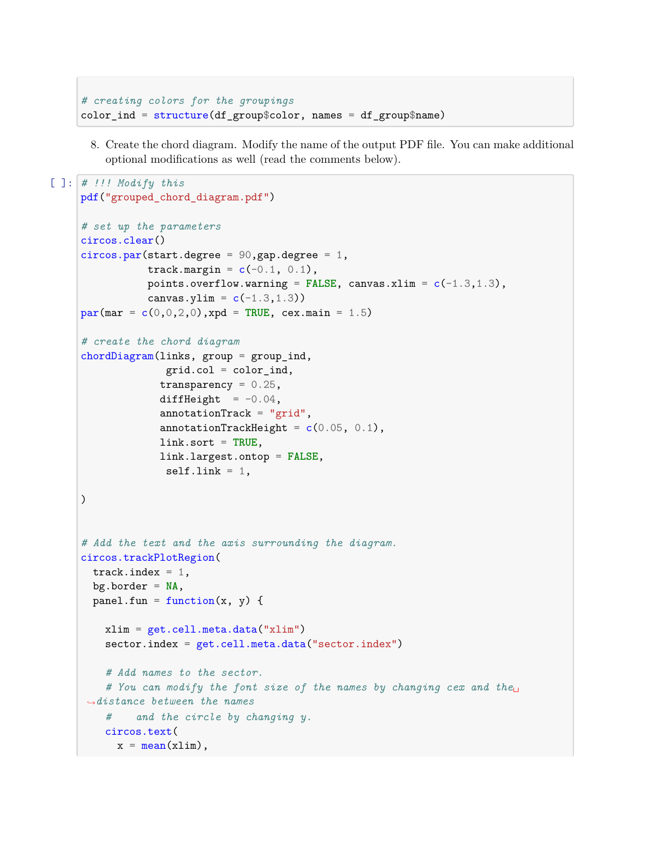```
# creating colors for the groupings
color\_ind = structure(df_group\color, names = df_group$name)
```
8. Create the chord diagram. Modify the name of the output PDF file. You can make additional optional modifications as well (read the comments below).

```
[ ]: # !!! Modify this
     pdf("grouped_chord_diagram.pdf")
     # set up the parameters
     circos.clear()
     circos.par(start.degree = 90, gap.degree = 1,
                track.margin = c(-0.1, 0.1),
                points.overflow.warning = FALSE, canvas.xlim = c(-1.3, 1.3),
                canvas.ylim = c(-1.3, 1.3))
     par(max = c(0, 0, 2, 0), xpd = TRUE, cex.mainloop = 1.5)# create the chord diagram
     chordDiagram(links, group = group_ind,
                   grid.col = color\_ind,transparency = 0.25,
                  diffHeight = -0.04,
                  annotationTrack = "grid",annotationTrackHeight = c(0.05, 0.1),
                  link.sort = TRUE,
                  link.largest.ontop = FALSE,
                   selfuink = 1,)
     # Add the text and the axis surrounding the diagram.
     circos.trackPlotRegion(
       track.index = 1,
       bg.border = NA,
       panel.fun = function(x, y) {
         xlim = get.cell.meta.data("xlim")
         sector.index = get.cell.meta.data("sector.index")
         # Add names to the sector.
         # You can modify the font size of the names by changing cex and the␣
      ,→distance between the names
         # and the circle by changing y.
         circos.text(
           x = \text{mean}(x \text{lim}),
```